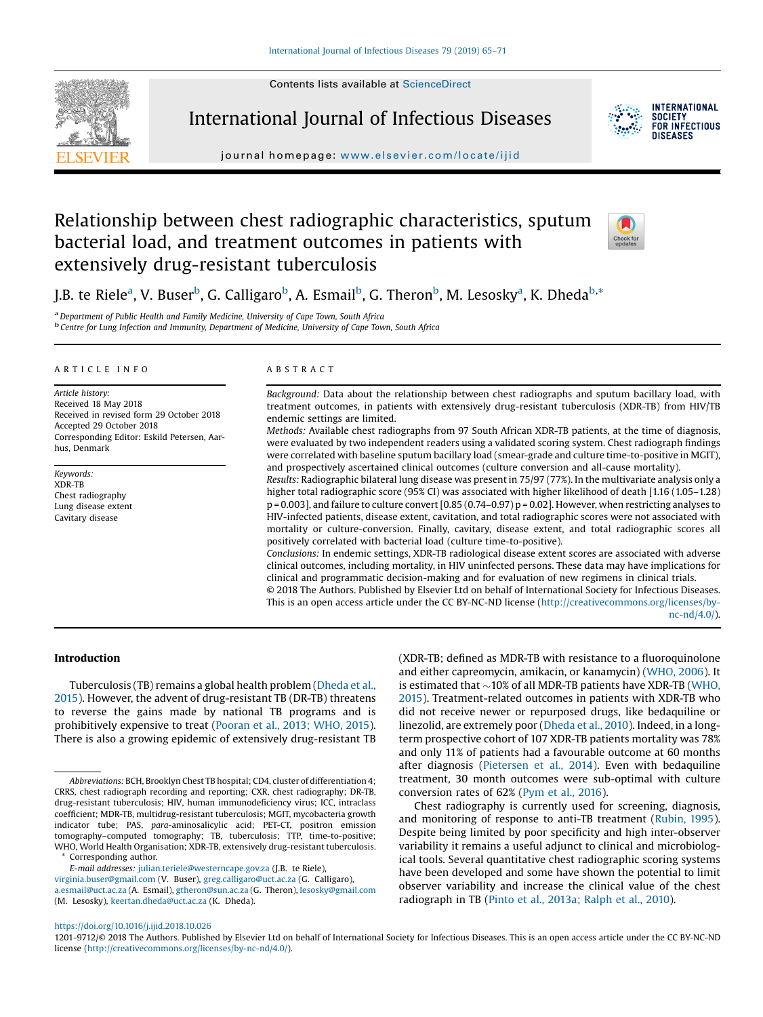Contents lists available at [ScienceDirect](http://www.sciencedirect.com/science/journal/12019712)



International Journal of Infectious Diseases



**INTERNATIONAL SOCIETY** FOR INFECTIOUS **DISFASES** 

journal homepage: <www.elsevier.com/locate/ijid>

# Relationship between chest radiographic characteristics, sputum bacterial load, and treatment outcomes in patients with extensively drug-resistant tuberculosis



J.B. te Riele<sup>a</sup>, V. Buser<sup>b</sup>, G. Calligaro<sup>b</sup>, A. Esmail<sup>b</sup>, G. Theron<sup>b</sup>, M. Lesosky<sup>a</sup>, K. Dheda<sup>b,</sup>\*

<sup>a</sup> Department of Public Health and Family Medicine, University of Cape Town, South Africa b Centre for Lung Infection and Immunity, Department of Medicine, University of Cape Town, South Africa

# A R T I C L E I N F O

Article history: Received 18 May 2018 Received in revised form 29 October 2018 Accepted 29 October 2018 Corresponding Editor: Eskild Petersen, Aarhus, Denmark

Keywords: XDR-TB Chest radiography Lung disease extent Cavitary disease

### A B S T R A C T

Background: Data about the relationship between chest radiographs and sputum bacillary load, with treatment outcomes, in patients with extensively drug-resistant tuberculosis (XDR-TB) from HIV/TB endemic settings are limited.

Methods: Available chest radiographs from 97 South African XDR-TB patients, at the time of diagnosis, were evaluated by two independent readers using a validated scoring system. Chest radiograph findings were correlated with baseline sputum bacillary load (smear-grade and culture time-to-positive in MGIT), and prospectively ascertained clinical outcomes (culture conversion and all-cause mortality).

Results: Radiographic bilateral lung disease was present in 75/97 (77%). In the multivariate analysis only a higher total radiographic score (95% CI) was associated with higher likelihood of death [1.16 (1.05–1.28) p = 0.003], and failure to culture convert [0.85 (0.74-0.97) p = 0.02]. However, when restricting analyses to HIV-infected patients, disease extent, cavitation, and total radiographic scores were not associated with mortality or culture-conversion. Finally, cavitary, disease extent, and total radiographic scores all positively correlated with bacterial load (culture time-to-positive).

Conclusions: In endemic settings, XDR-TB radiological disease extent scores are associated with adverse clinical outcomes, including mortality, in HIV uninfected persons. These data may have implications for clinical and programmatic decision-making and for evaluation of new regimens in clinical trials.

© 2018 The Authors. Published by Elsevier Ltd on behalf of International Society for Infectious Diseases. This is an open access article under the CC BY-NC-ND license ([http://creativecommons.org/licenses/by](http://creativecommons.org/licenses/by-nc-nd/4.0/)[nc-nd/4.0/](http://creativecommons.org/licenses/by-nc-nd/4.0/)).

# Introduction

Tuberculosis (TB) remains a global health problem ([Dheda](#page-5-0) et al., [2015](#page-5-0)). However, the advent of drug-resistant TB (DR-TB) threatens to reverse the gains made by national TB programs and is prohibitively expensive to treat [\(Pooran](#page-5-0) et al., 2013; WHO, 2015). There is also a growing epidemic of extensively drug-resistant TB

E-mail addresses: [julian.teriele@westerncape.gov.za](mailto:julian.teriele@westerncape.gov.za) (J.B. te Riele),

[virginia.buser@gmail.com](mailto:virginia.buser@gmail.com) (V. Buser), [greg.calligaro@uct.ac.za](mailto:greg.calligaro@uct.ac.za) (G. Calligaro),

[a.esmail@uct.ac.za](mailto:a.esmail@uct.ac.za) (A. Esmail), [gtheron@sun.ac.za](mailto:gtheron@sun.ac.za) (G. Theron), [lesosky@gmail.com](mailto:lesosky@gmail.com) (M. Lesosky), [keertan.dheda@uct.ac.za](mailto:keertan.dheda@uct.ac.za) (K. Dheda).

(XDR-TB; defined as MDR-TB with resistance to a fluoroquinolone and either capreomycin, amikacin, or kanamycin) ([WHO,](#page-6-0) 2006). It is estimated that  $\sim$ 10% of all MDR-TB patients have XDR-TB ([WHO,](#page-6-0) [2015](#page-6-0)). Treatment-related outcomes in patients with XDR-TB who did not receive newer or repurposed drugs, like bedaquiline or linezolid, are extremely poor ([Dheda](#page-5-0) et al., 2010). Indeed, in a longterm prospective cohort of 107 XDR-TB patients mortality was 78% and only 11% of patients had a favourable outcome at 60 months after diagnosis [\(Pietersen](#page-5-0) et al., 2014). Even with bedaquiline treatment, 30 month outcomes were sub-optimal with culture conversion rates of 62% (Pym et al., [2016](#page-5-0)).

Chest radiography is currently used for screening, diagnosis, and monitoring of response to anti-TB treatment [\(Rubin,](#page-5-0) 1995). Despite being limited by poor specificity and high inter-observer variability it remains a useful adjunct to clinical and microbiological tools. Several quantitative chest radiographic scoring systems have been developed and some have shown the potential to limit observer variability and increase the clinical value of the chest radiograph in TB (Pinto et al., [2013a;](#page-5-0) Ralph et al., 2010).

<https://doi.org/10.1016/j.ijid.2018.10.026>

1201-9712/© 2018 The Authors. Published by Elsevier Ltd on behalf of International Society for Infectious Diseases. This is an open access article under the CC BY-NC-ND license [\(http://creativecommons.org/licenses/by-nc-nd/4.0/\)](http://creativecommons.org/licenses/by-nc-nd/4.0/).

Abbreviations: BCH, Brooklyn Chest TB hospital; CD4, cluster of differentiation 4; CRRS, chest radiograph recording and reporting; CXR, chest radiography; DR-TB, drug-resistant tuberculosis; HIV, human immunodeficiency virus; ICC, intraclass coefficient; MDR-TB, multidrug-resistant tuberculosis; MGIT, mycobacteria growth indicator tube; PAS, para-aminosalicylic acid; PET-CT, positron emission tomography–computed tomography; TB, tuberculosis; TTP, time-to-positive; WHO, World Health Organisation; XDR-TB, extensively drug-resistant tuberculosis. Corresponding author.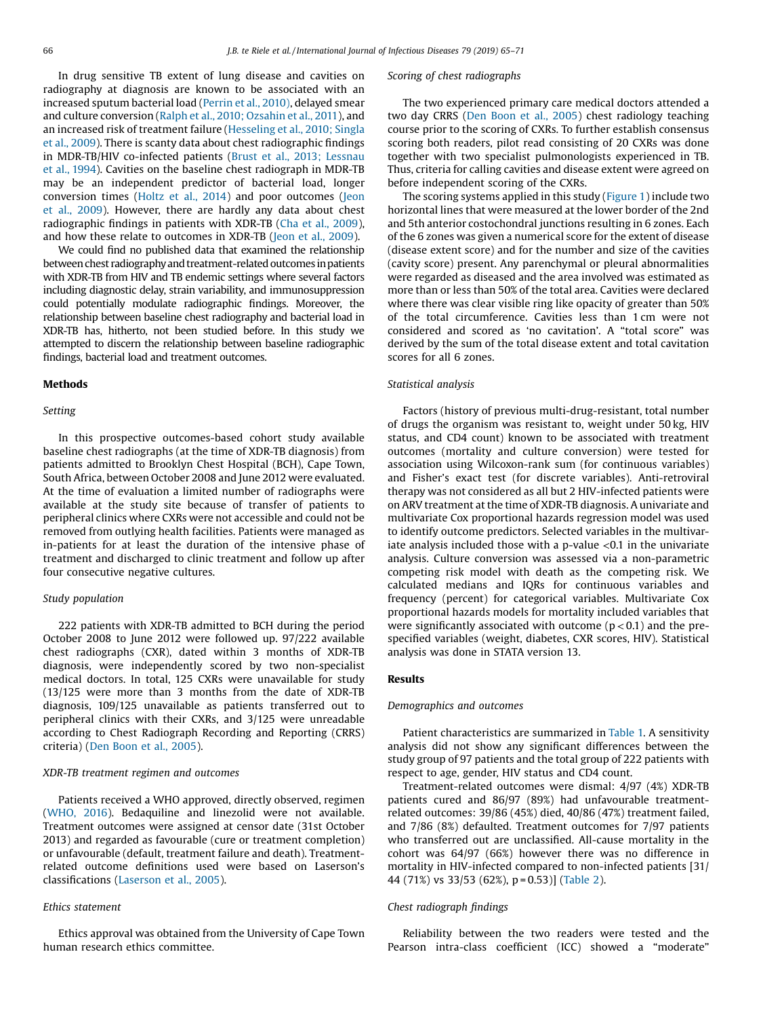In drug sensitive TB extent of lung disease and cavities on radiography at diagnosis are known to be associated with an increased sputum bacterial load ([Perrin](#page-5-0) et al., 2010), delayed smear and culture conversion (Ralph et al., 2010; [Ozsahin](#page-5-0) et al., 2011), and an increased risk of treatment failure [\(Hesseling](#page-5-0) et al., 2010; Singla et al., [2009\)](#page-5-0). There is scanty data about chest radiographic findings in MDR-TB/HIV co-infected patients (Brust et al., 2013; [Lessnau](#page-5-0) et al., [1994](#page-5-0)). Cavities on the baseline chest radiograph in MDR-TB may be an independent predictor of bacterial load, longer conversion times ([Holtz](#page-5-0) et al., 2014) and poor outcomes [\(Jeon](#page-5-0) et al., [2009](#page-5-0)). However, there are hardly any data about chest radiographic findings in patients with XDR-TB (Cha et al., [2009](#page-5-0)), and how these relate to outcomes in XDR-TB (Jeon et al., [2009](#page-5-0)).

We could find no published data that examined the relationship between chest radiography and treatment-related outcomes in patients with XDR-TB from HIV and TB endemic settings where several factors including diagnostic delay, strain variability, and immunosuppression could potentially modulate radiographic findings. Moreover, the relationship between baseline chest radiography and bacterial load in XDR-TB has, hitherto, not been studied before. In this study we attempted to discern the relationship between baseline radiographic findings, bacterial load and treatment outcomes.

### **Methods**

# Setting

In this prospective outcomes-based cohort study available baseline chest radiographs (at the time of XDR-TB diagnosis) from patients admitted to Brooklyn Chest Hospital (BCH), Cape Town, South Africa, between October 2008 and June 2012 were evaluated. At the time of evaluation a limited number of radiographs were available at the study site because of transfer of patients to peripheral clinics where CXRs were not accessible and could not be removed from outlying health facilities. Patients were managed as in-patients for at least the duration of the intensive phase of treatment and discharged to clinic treatment and follow up after four consecutive negative cultures.

### Study population

222 patients with XDR-TB admitted to BCH during the period October 2008 to June 2012 were followed up. 97/222 available chest radiographs (CXR), dated within 3 months of XDR-TB diagnosis, were independently scored by two non-specialist medical doctors. In total, 125 CXRs were unavailable for study (13/125 were more than 3 months from the date of XDR-TB diagnosis, 109/125 unavailable as patients transferred out to peripheral clinics with their CXRs, and 3/125 were unreadable according to Chest Radiograph Recording and Reporting (CRRS) criteria) (Den [Boon](#page-5-0) et al., 2005).

# XDR-TB treatment regimen and outcomes

Patients received a WHO approved, directly observed, regimen ([WHO,](#page-6-0) 2016). Bedaquiline and linezolid were not available. Treatment outcomes were assigned at censor date (31st October 2013) and regarded as favourable (cure or treatment completion) or unfavourable (default, treatment failure and death). Treatmentrelated outcome definitions used were based on Laserson's classifications ([Laserson](#page-5-0) et al., 2005).

### Ethics statement

Ethics approval was obtained from the University of Cape Town human research ethics committee.

### Scoring of chest radiographs

The two experienced primary care medical doctors attended a two day CRRS (Den [Boon](#page-5-0) et al., 2005) chest radiology teaching course prior to the scoring of CXRs. To further establish consensus scoring both readers, pilot read consisting of 20 CXRs was done together with two specialist pulmonologists experienced in TB. Thus, criteria for calling cavities and disease extent were agreed on before independent scoring of the CXRs.

The scoring systems applied in this study ([Figure](#page-2-0) 1) include two horizontal lines that were measured at the lower border of the 2nd and 5th anterior costochondral junctions resulting in 6 zones. Each of the 6 zones was given a numerical score for the extent of disease (disease extent score) and for the number and size of the cavities (cavity score) present. Any parenchymal or pleural abnormalities were regarded as diseased and the area involved was estimated as more than or less than 50% of the total area. Cavities were declared where there was clear visible ring like opacity of greater than 50% of the total circumference. Cavities less than 1 cm were not considered and scored as 'no cavitation'. A "total score" was derived by the sum of the total disease extent and total cavitation scores for all 6 zones.

### Statistical analysis

Factors (history of previous multi-drug-resistant, total number of drugs the organism was resistant to, weight under 50 kg, HIV status, and CD4 count) known to be associated with treatment outcomes (mortality and culture conversion) were tested for association using Wilcoxon-rank sum (for continuous variables) and Fisher's exact test (for discrete variables). Anti-retroviral therapy was not considered as all but 2 HIV-infected patients were on ARV treatment at the time of XDR-TB diagnosis. A univariate and multivariate Cox proportional hazards regression model was used to identify outcome predictors. Selected variables in the multivariate analysis included those with a  $p$ -value  $\langle 0.1 \rangle$  in the univariate analysis. Culture conversion was assessed via a non-parametric competing risk model with death as the competing risk. We calculated medians and IQRs for continuous variables and frequency (percent) for categorical variables. Multivariate Cox proportional hazards models for mortality included variables that were significantly associated with outcome  $(p < 0.1)$  and the prespecified variables (weight, diabetes, CXR scores, HIV). Statistical analysis was done in STATA version 13.

# Results

# Demographics and outcomes

Patient characteristics are summarized in [Table](#page-2-0) 1. A sensitivity analysis did not show any significant differences between the study group of 97 patients and the total group of 222 patients with respect to age, gender, HIV status and CD4 count.

Treatment-related outcomes were dismal: 4/97 (4%) XDR-TB patients cured and 86/97 (89%) had unfavourable treatmentrelated outcomes: 39/86 (45%) died, 40/86 (47%) treatment failed, and 7/86 (8%) defaulted. Treatment outcomes for 7/97 patients who transferred out are unclassified. All-cause mortality in the cohort was 64/97 (66%) however there was no difference in mortality in HIV-infected compared to non-infected patients [31/ 44 (71%) vs 33/53 (62%), p = 0.53)] [\(Table](#page-3-0) 2).

## Chest radiograph findings

Reliability between the two readers were tested and the Pearson intra-class coefficient (ICC) showed a "moderate"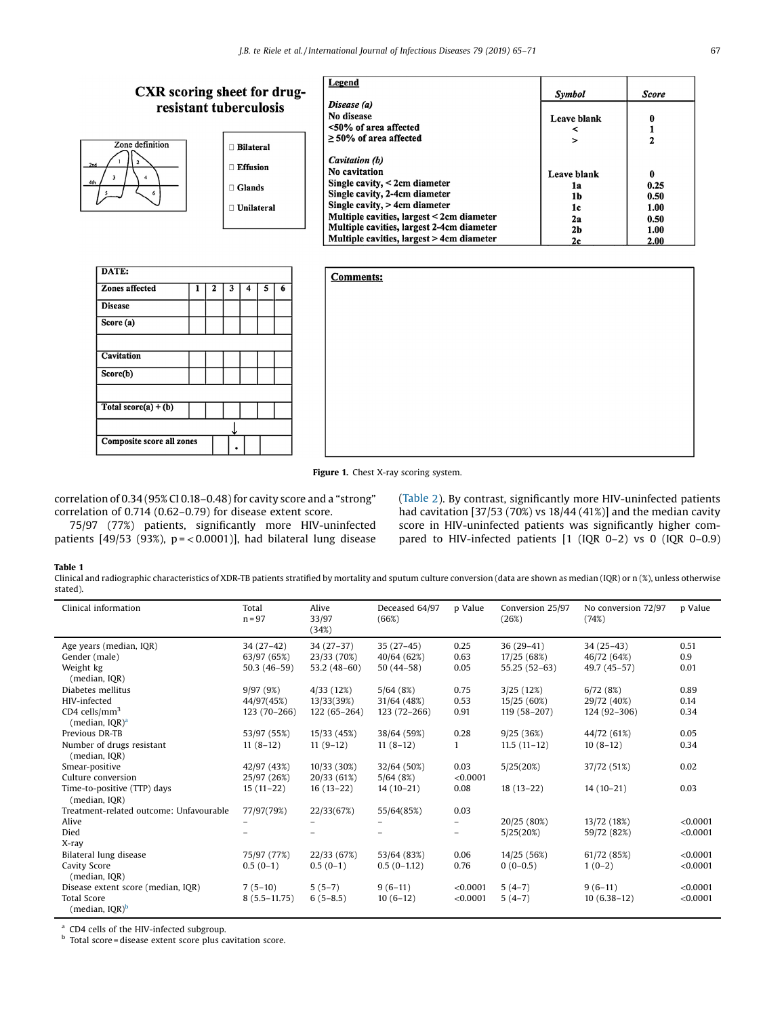#### <span id="page-2-0"></span>Legend **CXR** scoring sheet for drug-Symbol **Score** Disease (a) resistant tuberculosis No disease Leave blank  $\mathbf{0}$ <50% of area affected  $\mathbf{1}$  $\overline{a}$  $\geq$  50% of area affected  $\overline{\phantom{0}}$  $\overline{2}$ Zone definition  $\Box$  Bilateral Cavitation (b)  $\Box$  Effusion No cavitation Leave blank  $\bf{0}$ Single cavity,  $<$  2cm diameter  $0.25$  $\Box$  Glands  $1a$ Single cavity, 2-4cm diameter  $1<sub>b</sub>$  $0.50$ Single cavity, > 4cm diameter  $\Box$  Unilateral  $1<sub>c</sub>$  $1.00$ Multiple cavities, largest < 2cm diameter  $0.50$  $2a$ Multiple cavities, largest 2-4cm diameter  $2<sub>b</sub>$  $1.00$ Multiple cavities, largest > 4cm diameter 2.00  $2c$ DATE: **Comments:** Zones affected  $\overline{\mathbf{2}}$ 3  $\overline{4}$  $\overline{5}$  $\overline{6}$  $\mathbf{1}$ **Disease**

Figure 1. Chest X-ray scoring system.

correlation of 0.34 (95% CI 0.18–0.48) for cavity score and a "strong" correlation of 0.714 (0.62–0.79) for disease extent score.

 $\ddot{\phantom{0}}$ 

75/97 (77%) patients, significantly more HIV-uninfected patients [49/53 (93%),  $p = < 0.0001$ ], had bilateral lung disease

([Table](#page-3-0) 2). By contrast, significantly more HIV-uninfected patients had cavitation [37/53 (70%) vs 18/44 (41%)] and the median cavity score in HIV-uninfected patients was significantly higher compared to HIV-infected patients [1 (IQR 0–2) vs 0 (IQR 0–0.9)

# Table 1

 $Score(a)$ 

Cavitation  $Score(b)$ 

Total score(a) + (b)

Composite score all zones

Clinical and radiographic characteristics of XDR-TB patients stratified by mortality and sputum culture conversion (data are shown as median (IQR) or n (%), unless otherwise stated).

| Clinical information                             | Total<br>$n = 97$ | Alive<br>33/97<br>(34%) | Deceased 64/97<br>(66%) | p Value  | Conversion 25/97<br>(26%) | No conversion 72/97<br>(74%) | p Value  |
|--------------------------------------------------|-------------------|-------------------------|-------------------------|----------|---------------------------|------------------------------|----------|
| Age years (median, IQR)                          | $34(27-42)$       | $34(27-37)$             | $35(27-45)$             | 0.25     | 36 (29-41)                | $34(25-43)$                  | 0.51     |
| Gender (male)                                    | 63/97 (65%)       | 23/33 (70%)             | 40/64 (62%)             | 0.63     | 17/25 (68%)               | 46/72 (64%)                  | 0.9      |
| Weight kg<br>(median, IQR)                       | $50.3(46-59)$     | $53.2(48-60)$           | $50(44-58)$             | 0.05     | 55.25 (52-63)             | 49.7 (45-57)                 | 0.01     |
| Diabetes mellitus                                | 9/97(9%)          | 4/33(12%)               | 5/64(8%)                | 0.75     | 3/25(12%)                 | 6/72(8%)                     | 0.89     |
| HIV-infected                                     | 44/97(45%)        | 13/33(39%)              | 31/64 (48%)             | 0.53     | 15/25 (60%)               | 29/72 (40%)                  | 0.14     |
| CD4 cells/ $mm3$<br>(median, $IQR)^a$            | 123 (70-266)      | $122(65 - 264)$         | 123 (72-266)            | 0.91     | 119 (58-207)              | 124 (92-306)                 | 0.34     |
| Previous DR-TB                                   | 53/97 (55%)       | 15/33 (45%)             | 38/64 (59%)             | 0.28     | 9/25(36%)                 | 44/72 (61%)                  | 0.05     |
| Number of drugs resistant<br>(median, IQR)       | $11(8-12)$        | $11(9-12)$              | $11(8-12)$              |          | $11.5(11-12)$             | $10(8-12)$                   | 0.34     |
| Smear-positive                                   | 42/97 (43%)       | 10/33 (30%)             | 32/64 (50%)             | 0.03     | 5/25(20%)                 | 37/72 (51%)                  | 0.02     |
| Culture conversion                               | 25/97 (26%)       | 20/33 (61%)             | 5/64(8%)                | < 0.0001 |                           |                              |          |
| Time-to-positive (TTP) days<br>(median, IQR)     | $15(11-22)$       | $16(13-22)$             | $14(10-21)$             | 0.08     | $18(13-22)$               | $14(10-21)$                  | 0.03     |
| Treatment-related outcome: Unfavourable          | 77/97(79%)        | 22/33(67%)              | 55/64(85%)              | 0.03     |                           |                              |          |
| Alive                                            |                   |                         |                         | Ξ.       | 20/25 (80%)               | 13/72 (18%)                  | < 0.0001 |
| Died                                             |                   |                         |                         | -        | 5/25(20%)                 | 59/72 (82%)                  | < 0.0001 |
| X-ray                                            |                   |                         |                         |          |                           |                              |          |
| Bilateral lung disease                           | 75/97 (77%)       | 22/33 (67%)             | 53/64 (83%)             | 0.06     | 14/25 (56%)               | 61/72 (85%)                  | < 0.0001 |
| Cavity Score<br>(median, IQR)                    | $0.5(0-1)$        | $0.5(0-1)$              | $0.5(0-1.12)$           | 0.76     | $0(0-0.5)$                | $1(0-2)$                     | < 0.0001 |
| Disease extent score (median, IQR)               | $7(5-10)$         | $5(5-7)$                | $9(6-11)$               | < 0.0001 | $5(4-7)$                  | $9(6-11)$                    | < 0.0001 |
| <b>Total Score</b><br>(median, IQR) <sup>b</sup> | $8(5.5 - 11.75)$  | $6(5-8.5)$              | $10(6-12)$              | < 0.0001 | $5(4-7)$                  | $10(6.38-12)$                | < 0.0001 |

CD4 cells of the HIV-infected subgroup.

b Total score = disease extent score plus cavitation score.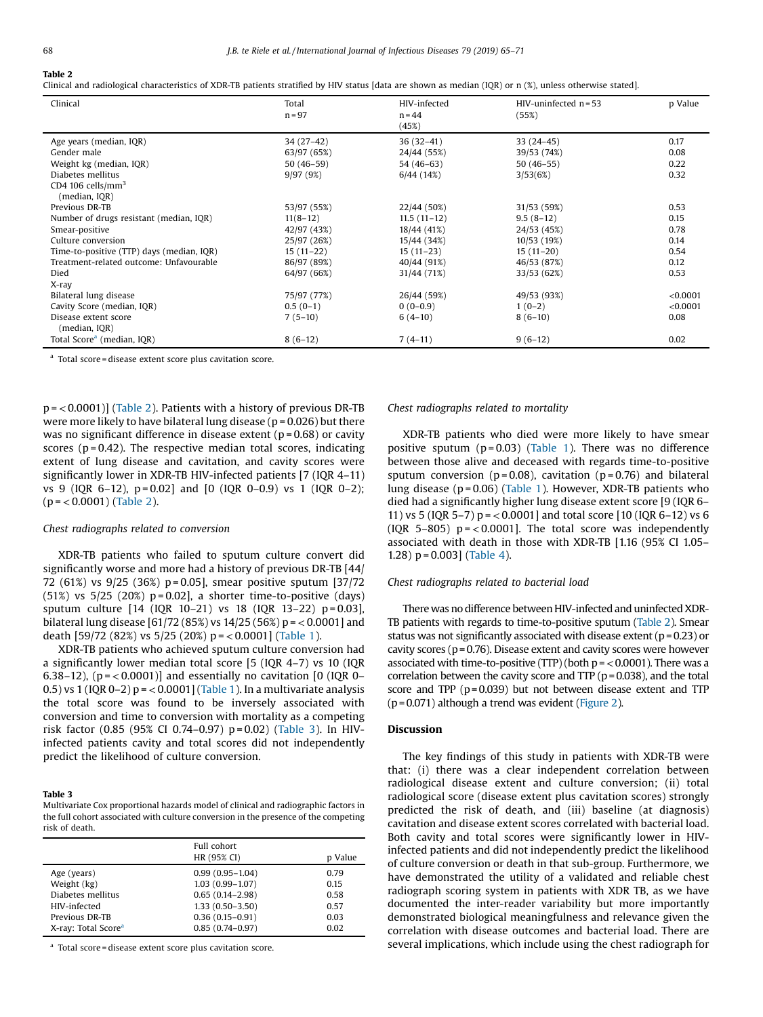# <span id="page-3-0"></span>Table 2

Clinical and radiological characteristics of XDR-TB patients stratified by HIV status [data are shown as median (IQR) or n (%), unless otherwise stated].

| Clinical                                  | Total<br>$n = 97$ | HIV-infected<br>$n = 44$<br>(45%) | $HIV$ -uninfected $n = 53$<br>(55%) | p Value  |
|-------------------------------------------|-------------------|-----------------------------------|-------------------------------------|----------|
| Age years (median, IQR)                   | $34(27-42)$       | $36(32-41)$                       | $33(24-45)$                         | 0.17     |
| Gender male                               | 63/97 (65%)       | 24/44 (55%)                       | 39/53 (74%)                         | 0.08     |
| Weight kg (median, IQR)                   | $50(46-59)$       | $54(46-63)$                       | $50(46-55)$                         | 0.22     |
| Diabetes mellitus                         | 9/97(9%)          | 6/44(14%)                         | 3/53(6%)                            | 0.32     |
| CD4 106 cells/ $mm3$                      |                   |                                   |                                     |          |
| (median, IQR)                             |                   |                                   |                                     |          |
| Previous DR-TB                            | 53/97 (55%)       | 22/44 (50%)                       | 31/53 (59%)                         | 0.53     |
| Number of drugs resistant (median, IQR)   | $11(8-12)$        | $11.5(11-12)$                     | $9.5(8-12)$                         | 0.15     |
| Smear-positive                            | 42/97 (43%)       | 18/44 (41%)                       | 24/53 (45%)                         | 0.78     |
| Culture conversion                        | 25/97 (26%)       | 15/44 (34%)                       | 10/53 (19%)                         | 0.14     |
| Time-to-positive (TTP) days (median, IQR) | $15(11-22)$       | $15(11-23)$                       | $15(11-20)$                         | 0.54     |
| Treatment-related outcome: Unfavourable   | 86/97 (89%)       | 40/44 (91%)                       | 46/53 (87%)                         | 0.12     |
| Died                                      | 64/97 (66%)       | 31/44 (71%)                       | 33/53 (62%)                         | 0.53     |
| X-ray                                     |                   |                                   |                                     |          |
| Bilateral lung disease                    | 75/97 (77%)       | 26/44 (59%)                       | 49/53 (93%)                         | < 0.0001 |
| Cavity Score (median, IQR)                | $0.5(0-1)$        | $0(0-0.9)$                        | $1(0-2)$                            | < 0.0001 |
| Disease extent score                      | $7(5-10)$         | $6(4-10)$                         | $8(6-10)$                           | 0.08     |
| (median, IQR)                             |                   |                                   |                                     |          |
| Total Score <sup>a</sup> (median, IQR)    | $8(6-12)$         | $7(4-11)$                         | $9(6-12)$                           | 0.02     |

<sup>a</sup> Total score = disease extent score plus cavitation score.

p =<0.0001)] (Table 2). Patients with a history of previous DR-TB were more likely to have bilateral lung disease ( $p = 0.026$ ) but there was no significant difference in disease extent  $(p = 0.68)$  or cavity scores ( $p = 0.42$ ). The respective median total scores, indicating extent of lung disease and cavitation, and cavity scores were significantly lower in XDR-TB HIV-infected patients [7 (IQR 4–11) vs 9 (IQR 6-12),  $p = 0.02$ ] and [0 (IQR 0-0.9) vs 1 (IQR 0-2);  $(p = 0.0001)$  (Table 2).

# Chest radiographs related to conversion

XDR-TB patients who failed to sputum culture convert did significantly worse and more had a history of previous DR-TB [44/ 72 (61%) vs  $9/25$  (36%) p=0.05], smear positive sputum [37/72  $(51%)$  vs  $5/25$   $(20%)$   $p = 0.02$ ], a shorter time-to-positive  $(days)$ sputum culture [14 (IQR 10–21) vs 18 (IQR 13–22) p = 0.03], bilateral lung disease [61/72 (85%) vs  $14/25$  (56%) p = < 0.0001] and death  $[59/72 (82%)$  vs  $5/25 (20%)$  p = < 0.0001] [\(Table](#page-2-0) 1).

XDR-TB patients who achieved sputum culture conversion had a significantly lower median total score [5 (IQR 4–7) vs 10 (IQR 6.38–12),  $(p = 0.0001)$ ] and essentially no cavitation [0 (IQR 0– 0.5) vs 1 (IQR  $0-2$ )  $p = < 0.0001$ ] [\(Table](#page-2-0) 1). In a multivariate analysis the total score was found to be inversely associated with conversion and time to conversion with mortality as a competing risk factor (0.85 (95% CI 0.74–0.97) p = 0.02) (Table 3). In HIVinfected patients cavity and total scores did not independently predict the likelihood of culture conversion.

### Table 3

Multivariate Cox proportional hazards model of clinical and radiographic factors in the full cohort associated with culture conversion in the presence of the competing risk of death.

|                                 | Full cohort<br>HR (95% CI) | p Value |
|---------------------------------|----------------------------|---------|
| Age (years)                     | $0.99(0.95-1.04)$          | 0.79    |
| Weight (kg)                     | $1.03(0.99 - 1.07)$        | 0.15    |
| Diabetes mellitus               | $0.65(0.14 - 2.98)$        | 0.58    |
| HIV-infected                    | $1.33(0.50-3.50)$          | 0.57    |
| Previous DR-TB                  | $0.36(0.15 - 0.91)$        | 0.03    |
| X-ray: Total Score <sup>a</sup> | $0.85(0.74 - 0.97)$        | 0.02    |

<sup>a</sup> Total score = disease extent score plus cavitation score.

## Chest radiographs related to mortality

XDR-TB patients who died were more likely to have smear positive sputum  $(p=0.03)$  ([Table](#page-2-0) 1). There was no difference between those alive and deceased with regards time-to-positive sputum conversion ( $p = 0.08$ ), cavitation ( $p = 0.76$ ) and bilateral lung disease ( $p = 0.06$ ) ([Table](#page-2-0) 1). However, XDR-TB patients who died had a significantly higher lung disease extent score [9 (IQR 6– 11) vs 5 (IQR 5–7)  $p = 0.0001$  and total score [10 (IQR 6–12) vs 6 (IQR 5–805)  $p = < 0.0001$ ]. The total score was independently associated with death in those with XDR-TB [1.16 (95% CI 1.05– 1.28) p = 0.003] ([Table](#page-4-0) 4).

# Chest radiographs related to bacterial load

There was no difference between HIV-infected and uninfected XDR-TB patients with regards to time-to-positive sputum (Table 2). Smear status was not significantly associated with disease extent ( $p=0.23$ ) or cavity scores ( $p = 0.76$ ). Disease extent and cavity scores were however associated with time-to-positive (TTP) (both  $p = < 0.0001$ ). There was a correlation between the cavity score and TTP  $(p=0.038)$ , and the total score and TPP  $(p=0.039)$  but not between disease extent and TTP (p=0.071) although a trend was evident [\(Figure](#page-4-0) 2).

# Discussion

The key findings of this study in patients with XDR-TB were that: (i) there was a clear independent correlation between radiological disease extent and culture conversion; (ii) total radiological score (disease extent plus cavitation scores) strongly predicted the risk of death, and (iii) baseline (at diagnosis) cavitation and disease extent scores correlated with bacterial load. Both cavity and total scores were significantly lower in HIVinfected patients and did not independently predict the likelihood of culture conversion or death in that sub-group. Furthermore, we have demonstrated the utility of a validated and reliable chest radiograph scoring system in patients with XDR TB, as we have documented the inter-reader variability but more importantly demonstrated biological meaningfulness and relevance given the correlation with disease outcomes and bacterial load. There are several implications, which include using the chest radiograph for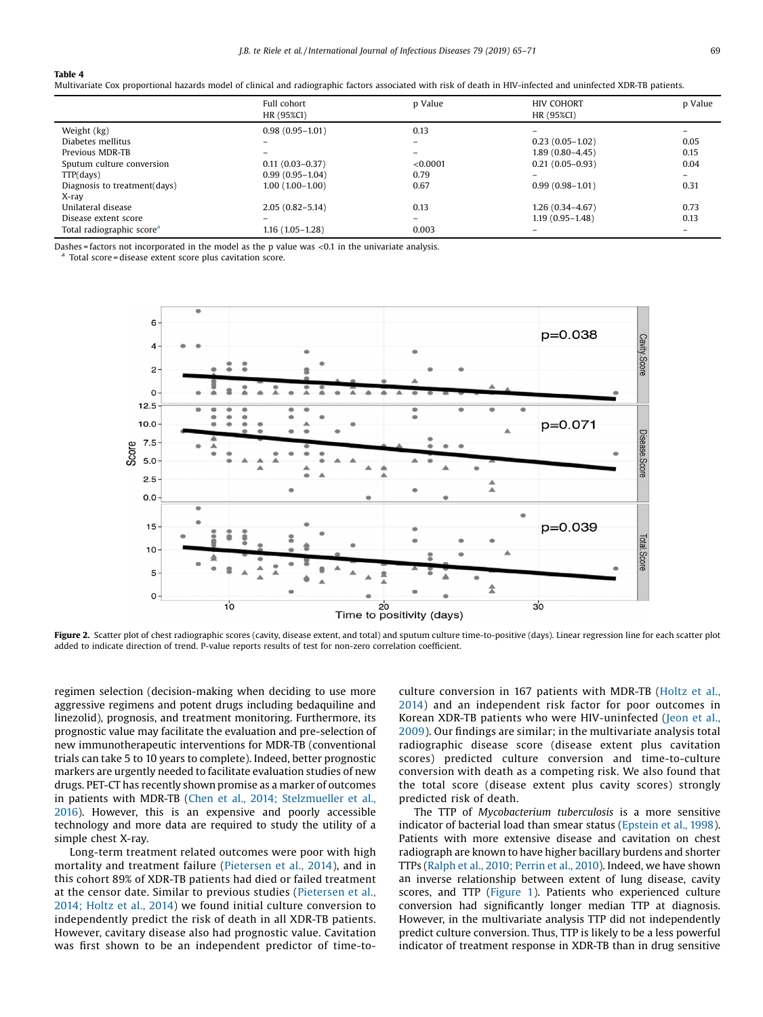### <span id="page-4-0"></span>Table 4

Multivariate Cox proportional hazards model of clinical and radiographic factors associated with risk of death in HIV-infected and uninfected XDR-TB patients.

|                                       | Full cohort<br>HR (95%CI) | p Value                  | <b>HIV COHORT</b><br>HR (95%CI) | p Value                  |
|---------------------------------------|---------------------------|--------------------------|---------------------------------|--------------------------|
| Weight (kg)                           | $0.98(0.95 - 1.01)$       | 0.13                     |                                 |                          |
| Diabetes mellitus                     | $\overline{\phantom{0}}$  | $\overline{\phantom{0}}$ | $0.23(0.05-1.02)$               | 0.05                     |
| Previous MDR-TB                       |                           | $\overline{\phantom{0}}$ | $1.89(0.80 - 4.45)$             | 0.15                     |
| Sputum culture conversion             | $0.11(0.03 - 0.37)$       | < 0.0001                 | $0.21(0.05-0.93)$               | 0.04                     |
| TTP(days)                             | $0.99(0.95 - 1.04)$       | 0.79                     | $\overline{\phantom{0}}$        | $\overline{\phantom{0}}$ |
| Diagnosis to treatment(days)          | $1.00(1.00-1.00)$         | 0.67                     | $0.99(0.98 - 1.01)$             | 0.31                     |
| X-ray                                 |                           |                          |                                 |                          |
| Unilateral disease                    | $2.05(0.82 - 5.14)$       | 0.13                     | $1.26(0.34 - 4.67)$             | 0.73                     |
| Disease extent score                  |                           | $\overline{\phantom{0}}$ | $1.19(0.95 - 1.48)$             | 0.13                     |
| Total radiographic score <sup>a</sup> | 1.16 (1.05-1.28)          | 0.003                    |                                 |                          |

Dashes = factors not incorporated in the model as the p value was <0.1 in the univariate analysis.

Total score = disease extent score plus cavitation score.



Figure 2. Scatter plot of chest radiographic scores (cavity, disease extent, and total) and sputum culture time-to-positive (days). Linear regression line for each scatter plot added to indicate direction of trend. P-value reports results of test for non-zero correlation coefficient.

regimen selection (decision-making when deciding to use more aggressive regimens and potent drugs including bedaquiline and linezolid), prognosis, and treatment monitoring. Furthermore, its prognostic value may facilitate the evaluation and pre-selection of new immunotherapeutic interventions for MDR-TB (conventional trials can take 5 to 10 years to complete). Indeed, better prognostic markers are urgently needed to facilitate evaluation studies of new drugs. PET-CT has recently shown promise as a marker of outcomes in patients with MDR-TB (Chen et al., 2014; [Stelzmueller](#page-5-0) et al., [2016\)](#page-5-0). However, this is an expensive and poorly accessible technology and more data are required to study the utility of a simple chest X-ray.

Long-term treatment related outcomes were poor with high mortality and treatment failure [\(Pietersen](#page-5-0) et al., 2014), and in this cohort 89% of XDR-TB patients had died or failed treatment at the censor date. Similar to previous studies [\(Pietersen](#page-5-0) et al., [2014;](#page-5-0) Holtz et al., 2014) we found initial culture conversion to independently predict the risk of death in all XDR-TB patients. However, cavitary disease also had prognostic value. Cavitation was first shown to be an independent predictor of time-toculture conversion in 167 patients with MDR-TB [\(Holtz](#page-5-0) et al., [2014\)](#page-5-0) and an independent risk factor for poor outcomes in Korean XDR-TB patients who were HIV-uninfected [\(Jeon](#page-5-0) et al., [2009\)](#page-5-0). Our findings are similar; in the multivariate analysis total radiographic disease score (disease extent plus cavitation scores) predicted culture conversion and time-to-culture conversion with death as a competing risk. We also found that the total score (disease extent plus cavity scores) strongly predicted risk of death.

The TTP of Mycobacterium tuberculosis is a more sensitive indicator of bacterial load than smear status ([Epstein](#page-5-0) et al., 1998). Patients with more extensive disease and cavitation on chest radiograph are known to have higher bacillary burdens and shorter TTPs (Ralph et al., 2010; [Perrin](#page-5-0) et al., 2010). Indeed, we have shown an inverse relationship between extent of lung disease, cavity scores, and TTP [\(Figure](#page-2-0) 1). Patients who experienced culture conversion had significantly longer median TTP at diagnosis. However, in the multivariate analysis TTP did not independently predict culture conversion. Thus, TTP is likely to be a less powerful indicator of treatment response in XDR-TB than in drug sensitive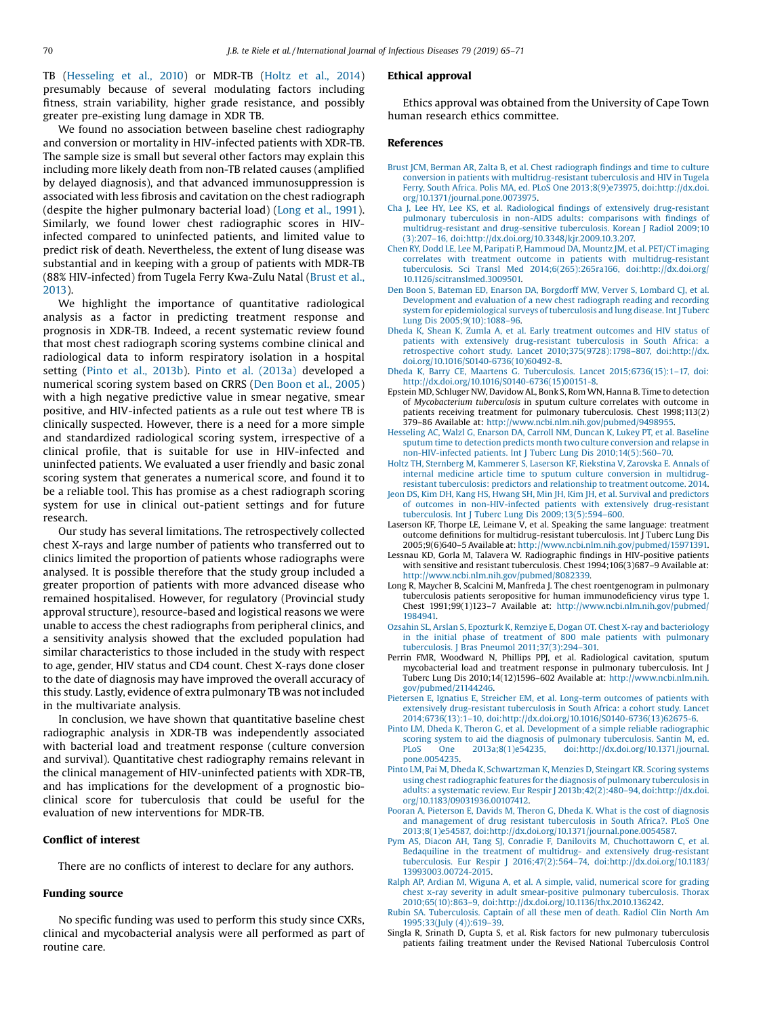<span id="page-5-0"></span>TB (Hesseling et al., 2010) or MDR-TB (Holtz et al., 2014) presumably because of several modulating factors including fitness, strain variability, higher grade resistance, and possibly greater pre-existing lung damage in XDR TB.

We found no association between baseline chest radiography and conversion or mortality in HIV-infected patients with XDR-TB. The sample size is small but several other factors may explain this including more likely death from non-TB related causes (amplified by delayed diagnosis), and that advanced immunosuppression is associated with less fibrosis and cavitation on the chest radiograph (despite the higher pulmonary bacterial load) (Long et al., 1991). Similarly, we found lower chest radiographic scores in HIVinfected compared to uninfected patients, and limited value to predict risk of death. Nevertheless, the extent of lung disease was substantial and in keeping with a group of patients with MDR-TB (88% HIV-infected) from Tugela Ferry Kwa-Zulu Natal (Brust et al., 2013).

We highlight the importance of quantitative radiological analysis as a factor in predicting treatment response and prognosis in XDR-TB. Indeed, a recent systematic review found that most chest radiograph scoring systems combine clinical and radiological data to inform respiratory isolation in a hospital setting (Pinto et al., 2013b). Pinto et al. (2013a) developed a numerical scoring system based on CRRS (Den Boon et al., 2005) with a high negative predictive value in smear negative, smear positive, and HIV-infected patients as a rule out test where TB is clinically suspected. However, there is a need for a more simple and standardized radiological scoring system, irrespective of a clinical profile, that is suitable for use in HIV-infected and uninfected patients. We evaluated a user friendly and basic zonal scoring system that generates a numerical score, and found it to be a reliable tool. This has promise as a chest radiograph scoring system for use in clinical out-patient settings and for future research.

Our study has several limitations. The retrospectively collected chest X-rays and large number of patients who transferred out to clinics limited the proportion of patients whose radiographs were analysed. It is possible therefore that the study group included a greater proportion of patients with more advanced disease who remained hospitalised. However, for regulatory (Provincial study approval structure), resource-based and logistical reasons we were unable to access the chest radiographs from peripheral clinics, and a sensitivity analysis showed that the excluded population had similar characteristics to those included in the study with respect to age, gender, HIV status and CD4 count. Chest X-rays done closer to the date of diagnosis may have improved the overall accuracy of this study. Lastly, evidence of extra pulmonary TB was not included in the multivariate analysis.

In conclusion, we have shown that quantitative baseline chest radiographic analysis in XDR-TB was independently associated with bacterial load and treatment response (culture conversion and survival). Quantitative chest radiography remains relevant in the clinical management of HIV-uninfected patients with XDR-TB, and has implications for the development of a prognostic bioclinical score for tuberculosis that could be useful for the evaluation of new interventions for MDR-TB.

# Conflict of interest

There are no conflicts of interest to declare for any authors.

# Funding source

No specific funding was used to perform this study since CXRs, clinical and mycobacterial analysis were all performed as part of routine care.

### Ethical approval

Ethics approval was obtained from the University of Cape Town human research ethics committee.

### References

- Brust JCM, Berman AR, Zalta B, et al. Chest [radiograph](http://refhub.elsevier.com/S1201-9712(18)34574-0/sbref0005) findings and time to culture conversion in patients with [multidrug-resistant](http://refhub.elsevier.com/S1201-9712(18)34574-0/sbref0005) tuberculosis and HIV in Tugela Ferry, South Africa. Polis MA, ed. PLoS One [2013;8\(9\)e73975,](http://refhub.elsevier.com/S1201-9712(18)34574-0/sbref0005) doi:http://dx.doi. [org/10.1371/journal.pone.0073975.](http://dx.doi.org/10.1371/journal.pone.0073975)
- Cha J, Lee HY, Lee KS, et al. Radiological findings of extensively [drug-resistant](http://refhub.elsevier.com/S1201-9712(18)34574-0/sbref0010) pulmonary tuberculosis in non-AIDS adults: [comparisons](http://refhub.elsevier.com/S1201-9712(18)34574-0/sbref0010) with findings of [multidrug-resistant](http://refhub.elsevier.com/S1201-9712(18)34574-0/sbref0010) and drug-sensitive tuberculosis. Korean J Radiol 2009;10 (3):207–16, [doi:http://dx.doi.org/10.3348/kjr.2009.10.3.207.](http://refhub.elsevier.com/S1201-9712(18)34574-0/sbref0010)
- Chen RY, Dodd LE, Lee M, Paripati P, [Hammoud](http://refhub.elsevier.com/S1201-9712(18)34574-0/sbref0015) DA, Mountz JM, et al. PET/CT imaging correlates with treatment outcome in patients with [multidrug-resistant](http://refhub.elsevier.com/S1201-9712(18)34574-0/sbref0015) tuberculosis. Sci Transl Med [2014;6\(265\):265ra166,](http://refhub.elsevier.com/S1201-9712(18)34574-0/sbref0015) doi:http://dx.doi.org/ [10.1126/scitranslmed.3009501.](http://dx.doi.org/10.1126/scitranslmed.3009501)
- Den Boon S, Bateman ED, Enarson DA, [Borgdorff](http://refhub.elsevier.com/S1201-9712(18)34574-0/sbref0020) MW, Verver S, Lombard CJ, et al. [Development](http://refhub.elsevier.com/S1201-9712(18)34574-0/sbref0020) and evaluation of a new chest radiograph reading and recording system for [epidemiological](http://refhub.elsevier.com/S1201-9712(18)34574-0/sbref0020) surveys of tuberculosis and lung disease. Int J Tuberc Lung Dis [2005;9\(10\):1088](http://refhub.elsevier.com/S1201-9712(18)34574-0/sbref0020)–96.
- Dheda K, Shean K, Zumla A, et al. Early [treatment](http://refhub.elsevier.com/S1201-9712(18)34574-0/sbref0025) outcomes and HIV status of patients with extensively [drug-resistant](http://refhub.elsevier.com/S1201-9712(18)34574-0/sbref0025) tuberculosis in South Africa: a retrospective cohort study. Lancet [2010;375\(9728\):1798](http://refhub.elsevier.com/S1201-9712(18)34574-0/sbref0025)–807, doi:http://dx. [doi.org/10.1016/S0140-6736\(10\)60492-8.](http://dx.doi.org/10.1016/S0140-6736(10)60492-8)
- Dheda K, Barry CE, Maartens G. Tuberculosis. Lancet [2015;6736\(15\):1](http://refhub.elsevier.com/S1201-9712(18)34574-0/sbref0030)–17, doi: [http://dx.doi.org/10.1016/S0140-6736\(15\)00151-8.](http://dx.doi.org/10.1016/S0140-6736(15)00151-8)
- Epstein MD, Schluger NW, Davidow AL, Bonk S, Rom WN, Hanna B. Time to detection of Mycobacterium tuberculosis in sputum culture correlates with outcome in patients receiving treatment for pulmonary tuberculosis. Chest 1998;113(2) 379–86 Available at: [http://www.ncbi.nlm.nih.gov/pubmed/9498955.](http://www.ncbi.nlm.nih.gov/pubmed/9498955)
- [Hesseling](http://refhub.elsevier.com/S1201-9712(18)34574-0/sbref0040) AC, Walzl G, Enarson DA, Carroll NM, Duncan K, Lukey PT, et al. Baseline sputum time to detection predicts month two culture [conversion](http://refhub.elsevier.com/S1201-9712(18)34574-0/sbref0040) and relapse in [non-HIV-infected](http://refhub.elsevier.com/S1201-9712(18)34574-0/sbref0040) patients. Int J Tuberc Lung Dis 2010;14(5):560–70.
- Holtz TH, Sternberg M, [Kammerer](http://refhub.elsevier.com/S1201-9712(18)34574-0/sbref0045) S, Laserson KF, Riekstina V, Zarovska E. Annals of internal medicine article time to sputum culture conversion in [multidrug](http://refhub.elsevier.com/S1201-9712(18)34574-0/sbref0045)resistant [tuberculosis:](http://refhub.elsevier.com/S1201-9712(18)34574-0/sbref0045) predictors and relationship to treatment outcome. 2014.
- Jeon DS, Kim DH, Kang HS, Hwang SH, Min JH, Kim JH, et al. Survival and [predictors](http://refhub.elsevier.com/S1201-9712(18)34574-0/sbref0050) of outcomes in [non-HIV-infected](http://refhub.elsevier.com/S1201-9712(18)34574-0/sbref0050) patients with extensively drug-resistant tuberculosis. Int J Tuberc Lung Dis [2009;13\(5\):594](http://refhub.elsevier.com/S1201-9712(18)34574-0/sbref0050)–600.
- Laserson KF, Thorpe LE, Leimane V, et al. Speaking the same language: treatment outcome definitions for multidrug-resistant tuberculosis. Int J Tuberc Lung Dis 2005;9(6)640–5 Available at: [http://www.ncbi.nlm.nih.gov/pubmed/15971391.](http://www.ncbi.nlm.nih.gov/pubmed/15971391)
- Lessnau KD, Gorla M, Talavera W. Radiographic findings in HIV-positive patients with sensitive and resistant tuberculosis. Chest 1994;106(3)687–9 Available at: <http://www.ncbi.nlm.nih.gov/pubmed/8082339>.
- Long R, Maycher B, Scalcini M, Manfreda J. The chest roentgenogram in pulmonary tuberculosis patients seropositive for human immunodeficiency virus type 1. Chest 1991;99(1)123–7 Available at: [http://www.ncbi.nlm.nih.gov/pubmed/](http://www.ncbi.nlm.nih.gov/pubmed/1984941) [1984941.](http://www.ncbi.nlm.nih.gov/pubmed/1984941)
- Ozsahin SL, Arslan S, Epozturk K, Remziye E, Dogan OT. Chest X-ray and [bacteriology](http://refhub.elsevier.com/S1201-9712(18)34574-0/sbref0070) in the initial phase of treatment of 800 male patients with [pulmonary](http://refhub.elsevier.com/S1201-9712(18)34574-0/sbref0070) tuberculosis. J Bras Pneumol [2011;37\(3\):294](http://refhub.elsevier.com/S1201-9712(18)34574-0/sbref0070)–301.
- Perrin FMR, Woodward N, Phillips PPJ, et al. Radiological cavitation, sputum mycobacterial load and treatment response in pulmonary tuberculosis. Int J Tuberc Lung Dis 2010;14(12)1596–602 Available at: [http://www.ncbi.nlm.nih.](http://www.ncbi.nlm.nih.gov/pubmed/21144246) [gov/pubmed/21144246.](http://www.ncbi.nlm.nih.gov/pubmed/21144246)
- Pietersen E, Ignatius E, Streicher EM, et al. [Long-term](http://refhub.elsevier.com/S1201-9712(18)34574-0/sbref0080) outcomes of patients with extensively [drug-resistant](http://refhub.elsevier.com/S1201-9712(18)34574-0/sbref0080) tuberculosis in South Africa: a cohort study. Lancet 2014;6736(13):1–10, [doi:http://dx.doi.org/10.1016/S0140-6736\(13\)62675-6.](http://refhub.elsevier.com/S1201-9712(18)34574-0/sbref0080)
- Pinto LM, Dheda K, Theron G, et al. [Development](http://refhub.elsevier.com/S1201-9712(18)34574-0/sbref0085) of a simple reliable radiographic scoring system to aid the diagnosis of pulmonary [tuberculosis.](http://refhub.elsevier.com/S1201-9712(18)34574-0/sbref0085) Santin M, ed. PLoS One 2013a;8(1)e54235, [doi:http://dx.doi.org/10.1371/journal.](http://refhub.elsevier.com/S1201-9712(18)34574-0/sbref0085) [pone.0054235.](http://dx.doi.org/10.1371/journal.pone.0054235)
- Pinto LM, Pai M, Dheda K, [Schwartzman](http://refhub.elsevier.com/S1201-9712(18)34574-0/sbref0090) K, Menzies D, Steingart KR. Scoring systems using chest [radiographic](http://refhub.elsevier.com/S1201-9712(18)34574-0/sbref0090) features for the diagnosis of pulmonary tuberculosis in adults: a systematic review. Eur Respir J 2013b;42(2):480–94, [doi:http://dx.doi.](http://refhub.elsevier.com/S1201-9712(18)34574-0/sbref0090) [org/10.1183/09031936.00107412.](http://dx.doi.org/10.1183/09031936.00107412)
- Pooran A, Pieterson E, Davids M, Theron G, Dheda K. What is the cost of [diagnosis](http://refhub.elsevier.com/S1201-9712(18)34574-0/sbref0095) and [management](http://refhub.elsevier.com/S1201-9712(18)34574-0/sbref0095) of drug resistant tuberculosis in South Africa?. PLoS One 2013;8(1)e54587, [doi:http://dx.doi.org/10.1371/journal.pone.0054587.](http://refhub.elsevier.com/S1201-9712(18)34574-0/sbref0095)
- Pym AS, Diacon AH, Tang SJ, Conradie F, Danilovits M, [Chuchottaworn](http://refhub.elsevier.com/S1201-9712(18)34574-0/sbref0100) C, et al. Bedaquiline in the treatment of multidrug- and extensively [drug-resistant](http://refhub.elsevier.com/S1201-9712(18)34574-0/sbref0100) tuberculosis. Eur Respir J 2016;47(2):564–74, [doi:http://dx.doi.org/10.1183/](http://refhub.elsevier.com/S1201-9712(18)34574-0/sbref0100) [13993003.00724-2015.](http://dx.doi.org/10.1183/13993003.00724-2015)
- Ralph AP, Ardian M, Wiguna A, et al. A simple, valid, [numerical](http://refhub.elsevier.com/S1201-9712(18)34574-0/sbref0105) score for grading chest x-ray severity in adult [smear-positive](http://refhub.elsevier.com/S1201-9712(18)34574-0/sbref0105) pulmonary tuberculosis. Thorax 2010;65(10):863–9, [doi:http://dx.doi.org/10.1136/thx.2010.136242.](http://refhub.elsevier.com/S1201-9712(18)34574-0/sbref0105)
- Rubin SA. [Tuberculosis.](http://refhub.elsevier.com/S1201-9712(18)34574-0/sbref0110) Captain of all these men of death. Radiol Clin North Am [1995;33\(July](http://refhub.elsevier.com/S1201-9712(18)34574-0/sbref0110) (4)):619–39.
- Singla R, Srinath D, Gupta S, et al. Risk factors for new pulmonary tuberculosis patients failing treatment under the Revised National Tuberculosis Control